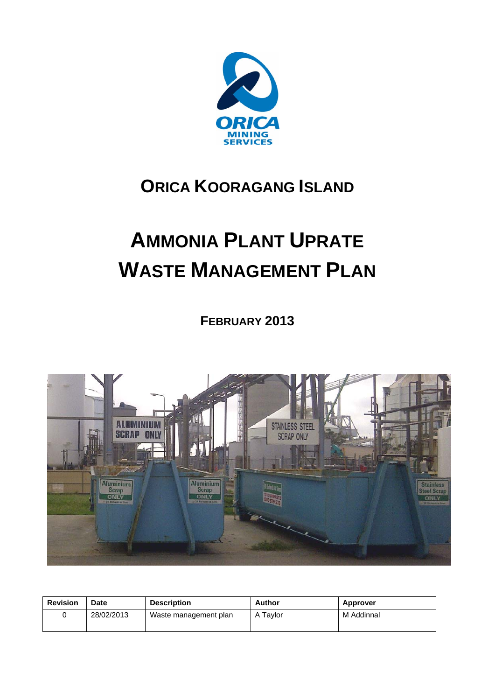

# **ORICA KOORAGANG ISLAND**

# **AMMONIA PLANT UPRATE WASTE MANAGEMENT PLAN**

**FEBRUARY 2013** 



| <b>Revision</b> | Date       | <b>Description</b>    | Author   | <b>Approver</b> |
|-----------------|------------|-----------------------|----------|-----------------|
|                 | 28/02/2013 | Waste management plan | A Tavlor | M Addinnal      |
|                 |            |                       |          |                 |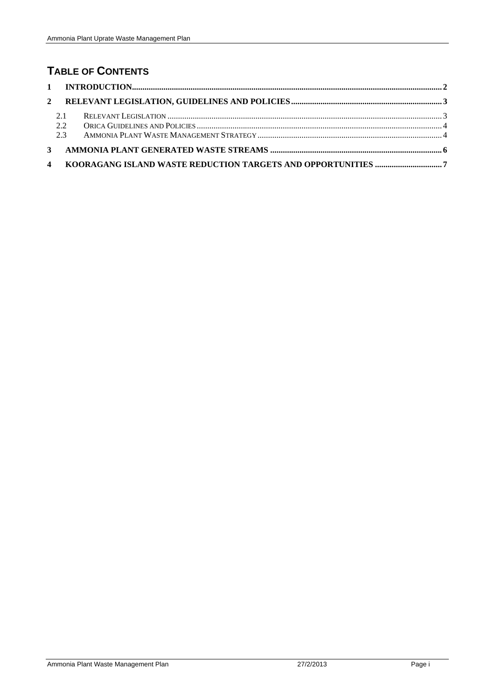## **TABLE OF CONTENTS**

| 2.1 |  |
|-----|--|
| 2.2 |  |
| 2.3 |  |
|     |  |
|     |  |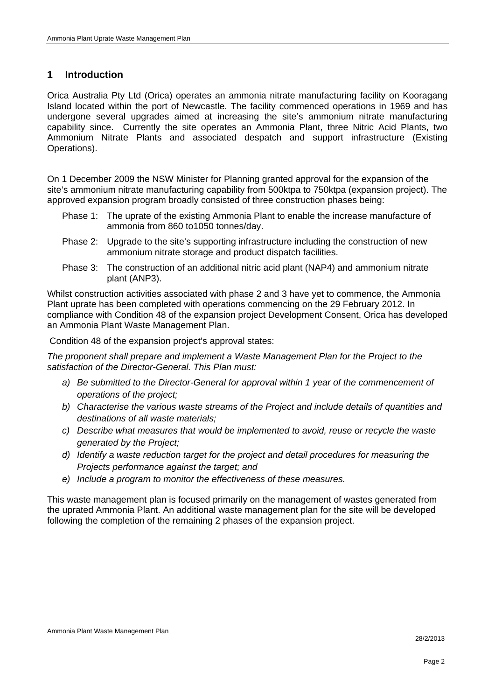#### **1 Introduction**

Orica Australia Pty Ltd (Orica) operates an ammonia nitrate manufacturing facility on Kooragang Island located within the port of Newcastle. The facility commenced operations in 1969 and has undergone several upgrades aimed at increasing the site's ammonium nitrate manufacturing capability since. Currently the site operates an Ammonia Plant, three Nitric Acid Plants, two Ammonium Nitrate Plants and associated despatch and support infrastructure (Existing Operations).

On 1 December 2009 the NSW Minister for Planning granted approval for the expansion of the site's ammonium nitrate manufacturing capability from 500ktpa to 750ktpa (expansion project). The approved expansion program broadly consisted of three construction phases being:

- Phase 1: The uprate of the existing Ammonia Plant to enable the increase manufacture of ammonia from 860 to1050 tonnes/day.
- Phase 2: Upgrade to the site's supporting infrastructure including the construction of new ammonium nitrate storage and product dispatch facilities.
- Phase 3: The construction of an additional nitric acid plant (NAP4) and ammonium nitrate plant (ANP3).

Whilst construction activities associated with phase 2 and 3 have yet to commence, the Ammonia Plant uprate has been completed with operations commencing on the 29 February 2012. In compliance with Condition 48 of the expansion project Development Consent, Orica has developed an Ammonia Plant Waste Management Plan.

Condition 48 of the expansion project's approval states:

*The proponent shall prepare and implement a Waste Management Plan for the Project to the satisfaction of the Director-General. This Plan must:* 

- *a) Be submitted to the Director-General for approval within 1 year of the commencement of operations of the project;*
- *b) Characterise the various waste streams of the Project and include details of quantities and destinations of all waste materials;*
- *c) Describe what measures that would be implemented to avoid, reuse or recycle the waste generated by the Project;*
- *d) Identify a waste reduction target for the project and detail procedures for measuring the Projects performance against the target; and*
- *e) Include a program to monitor the effectiveness of these measures.*

This waste management plan is focused primarily on the management of wastes generated from the uprated Ammonia Plant. An additional waste management plan for the site will be developed following the completion of the remaining 2 phases of the expansion project.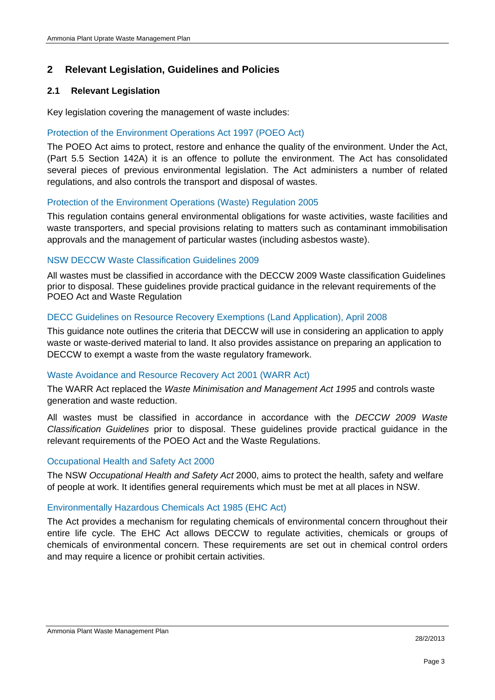#### **2 Relevant Legislation, Guidelines and Policies**

#### **2.1 Relevant Legislation**

Key legislation covering the management of waste includes:

#### Protection of the Environment Operations Act 1997 (POEO Act)

The POEO Act aims to protect, restore and enhance the quality of the environment. Under the Act, (Part 5.5 Section 142A) it is an offence to pollute the environment. The Act has consolidated several pieces of previous environmental legislation. The Act administers a number of related regulations, and also controls the transport and disposal of wastes.

#### Protection of the Environment Operations (Waste) Regulation 2005

This regulation contains general environmental obligations for waste activities, waste facilities and waste transporters, and special provisions relating to matters such as contaminant immobilisation approvals and the management of particular wastes (including asbestos waste).

#### NSW DECCW Waste Classification Guidelines 2009

All wastes must be classified in accordance with the DECCW 2009 Waste classification Guidelines prior to disposal. These guidelines provide practical guidance in the relevant requirements of the POEO Act and Waste Regulation

#### DECC Guidelines on Resource Recovery Exemptions (Land Application), April 2008

This guidance note outlines the criteria that DECCW will use in considering an application to apply waste or waste-derived material to land. It also provides assistance on preparing an application to DECCW to exempt a waste from the waste regulatory framework.

#### Waste Avoidance and Resource Recovery Act 2001 (WARR Act)

The WARR Act replaced the *Waste Minimisation and Management Act 1995* and controls waste generation and waste reduction.

All wastes must be classified in accordance in accordance with the *DECCW 2009 Waste Classification Guidelines* prior to disposal. These guidelines provide practical guidance in the relevant requirements of the POEO Act and the Waste Regulations.

#### Occupational Health and Safety Act 2000

The NSW *Occupational Health and Safety Act* 2000, aims to protect the health, safety and welfare of people at work. It identifies general requirements which must be met at all places in NSW.

#### Environmentally Hazardous Chemicals Act 1985 (EHC Act)

The Act provides a mechanism for regulating chemicals of environmental concern throughout their entire life cycle. The EHC Act allows DECCW to regulate activities, chemicals or groups of chemicals of environmental concern. These requirements are set out in chemical control orders and may require a licence or prohibit certain activities.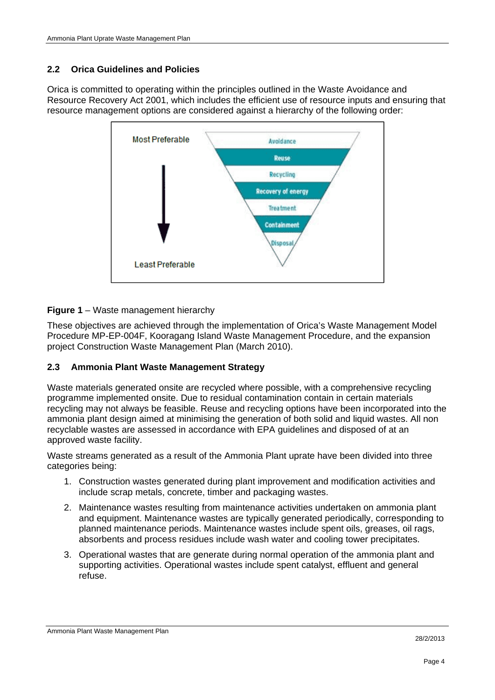#### **2.2 Orica Guidelines and Policies**

Orica is committed to operating within the principles outlined in the Waste Avoidance and Resource Recovery Act 2001, which includes the efficient use of resource inputs and ensuring that resource management options are considered against a hierarchy of the following order:



#### **Figure 1** – Waste management hierarchy

These objectives are achieved through the implementation of Orica's Waste Management Model Procedure MP-EP-004F, Kooragang Island Waste Management Procedure, and the expansion project Construction Waste Management Plan (March 2010).

#### **2.3 Ammonia Plant Waste Management Strategy**

Waste materials generated onsite are recycled where possible, with a comprehensive recycling programme implemented onsite. Due to residual contamination contain in certain materials recycling may not always be feasible. Reuse and recycling options have been incorporated into the ammonia plant design aimed at minimising the generation of both solid and liquid wastes. All non recyclable wastes are assessed in accordance with EPA guidelines and disposed of at an approved waste facility.

Waste streams generated as a result of the Ammonia Plant uprate have been divided into three categories being:

- 1. Construction wastes generated during plant improvement and modification activities and include scrap metals, concrete, timber and packaging wastes.
- 2. Maintenance wastes resulting from maintenance activities undertaken on ammonia plant and equipment. Maintenance wastes are typically generated periodically, corresponding to planned maintenance periods. Maintenance wastes include spent oils, greases, oil rags, absorbents and process residues include wash water and cooling tower precipitates.
- 3. Operational wastes that are generate during normal operation of the ammonia plant and supporting activities. Operational wastes include spent catalyst, effluent and general refuse.

Ammonia Plant Waste Management Plan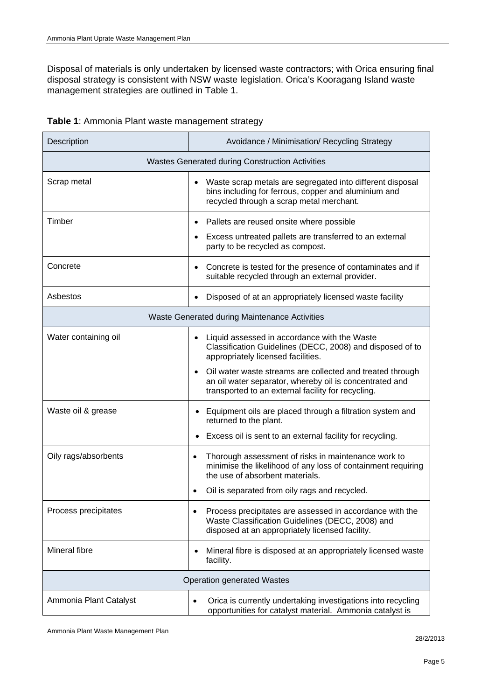Disposal of materials is only undertaken by licensed waste contractors; with Orica ensuring final disposal strategy is consistent with NSW waste legislation. Orica's Kooragang Island waste management strategies are outlined in Table 1.

|  |  | Table 1: Ammonia Plant waste management strategy |  |
|--|--|--------------------------------------------------|--|
|  |  |                                                  |  |

| Description                                     | Avoidance / Minimisation/ Recycling Strategy                                                                                                                                            |  |  |
|-------------------------------------------------|-----------------------------------------------------------------------------------------------------------------------------------------------------------------------------------------|--|--|
| Wastes Generated during Construction Activities |                                                                                                                                                                                         |  |  |
| Scrap metal                                     | Waste scrap metals are segregated into different disposal<br>$\bullet$<br>bins including for ferrous, copper and aluminium and<br>recycled through a scrap metal merchant.              |  |  |
| Timber                                          | Pallets are reused onsite where possible<br>$\bullet$                                                                                                                                   |  |  |
|                                                 | Excess untreated pallets are transferred to an external<br>party to be recycled as compost.                                                                                             |  |  |
| Concrete                                        | Concrete is tested for the presence of contaminates and if<br>$\bullet$<br>suitable recycled through an external provider.                                                              |  |  |
| Asbestos                                        | Disposed of at an appropriately licensed waste facility<br>$\bullet$                                                                                                                    |  |  |
| Waste Generated during Maintenance Activities   |                                                                                                                                                                                         |  |  |
| Water containing oil                            | Liquid assessed in accordance with the Waste<br>$\bullet$<br>Classification Guidelines (DECC, 2008) and disposed of to<br>appropriately licensed facilities.                            |  |  |
|                                                 | Oil water waste streams are collected and treated through<br>$\bullet$<br>an oil water separator, whereby oil is concentrated and<br>transported to an external facility for recycling. |  |  |
| Waste oil & grease                              | Equipment oils are placed through a filtration system and<br>returned to the plant.                                                                                                     |  |  |
|                                                 | Excess oil is sent to an external facility for recycling.                                                                                                                               |  |  |
| Oily rags/absorbents                            | Thorough assessment of risks in maintenance work to<br>$\bullet$<br>minimise the likelihood of any loss of containment requiring<br>the use of absorbent materials.                     |  |  |
|                                                 | Oil is separated from oily rags and recycled.<br>$\bullet$                                                                                                                              |  |  |
| Process precipitates                            | Process precipitates are assessed in accordance with the<br>$\bullet$<br>Waste Classification Guidelines (DECC, 2008) and<br>disposed at an appropriately licensed facility.            |  |  |
| Mineral fibre                                   | Mineral fibre is disposed at an appropriately licensed waste<br>$\bullet$<br>facility.                                                                                                  |  |  |
| <b>Operation generated Wastes</b>               |                                                                                                                                                                                         |  |  |
| Ammonia Plant Catalyst                          | Orica is currently undertaking investigations into recycling<br>$\bullet$<br>opportunities for catalyst material. Ammonia catalyst is                                                   |  |  |

Ammonia Plant Waste Management Plan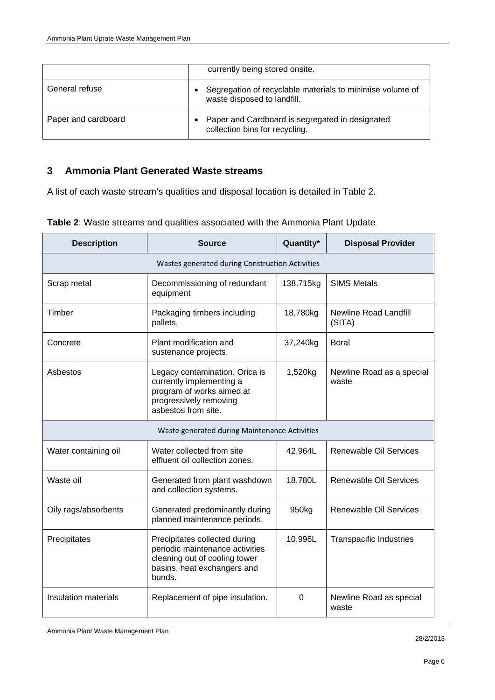|                     | currently being stored onsite.                                                           |
|---------------------|------------------------------------------------------------------------------------------|
| General refuse      | Segregation of recyclable materials to minimise volume of<br>waste disposed to landfill. |
| Paper and cardboard | Paper and Cardboard is segregated in designated<br>collection bins for recycling.        |

### **3 Ammonia Plant Generated Waste streams**

A list of each waste stream's qualities and disposal location is detailed in Table 2.

| <b>Description</b>                              | <b>Source</b>                                                                                                                              | Quantity* | <b>Disposal Provider</b>           |  |  |
|-------------------------------------------------|--------------------------------------------------------------------------------------------------------------------------------------------|-----------|------------------------------------|--|--|
| Wastes generated during Construction Activities |                                                                                                                                            |           |                                    |  |  |
| Scrap metal                                     | Decommissioning of redundant<br>equipment                                                                                                  | 138,715kg | <b>SIMS Metals</b>                 |  |  |
| Timber                                          | Packaging timbers including<br>pallets.                                                                                                    | 18,780kg  | Newline Road Landfill<br>(SITA)    |  |  |
| Concrete                                        | Plant modification and<br>sustenance projects.                                                                                             | 37,240kg  | <b>Boral</b>                       |  |  |
| Asbestos                                        | Legacy contamination. Orica is<br>currently implementing a<br>program of works aimed at<br>progressively removing<br>asbestos from site.   | 1,520kg   | Newline Road as a special<br>waste |  |  |
| Waste generated during Maintenance Activities   |                                                                                                                                            |           |                                    |  |  |
| Water containing oil                            | Water collected from site<br>effluent oil collection zones.                                                                                | 42,964L   | Renewable Oil Services             |  |  |
| Waste oil                                       | Generated from plant washdown<br>and collection systems.                                                                                   | 18,780L   | Renewable Oil Services             |  |  |
| Oily rags/absorbents                            | Generated predominantly during<br>planned maintenance periods.                                                                             | 950kg     | Renewable Oil Services             |  |  |
| Precipitates                                    | Precipitates collected during<br>periodic maintenance activities<br>cleaning out of cooling tower<br>basins, heat exchangers and<br>bunds. | 10,996L   | <b>Transpacific Industries</b>     |  |  |
| Insulation materials                            | Replacement of pipe insulation.                                                                                                            | $\Omega$  | Newline Road as special<br>waste   |  |  |

**Table 2**: Waste streams and qualities associated with the Ammonia Plant Update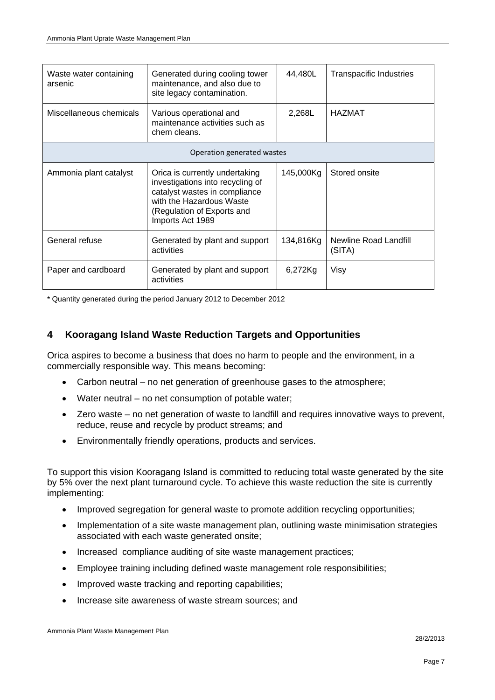| Waste water containing<br>arsenic | Generated during cooling tower<br>maintenance, and also due to<br>site legacy contamination.                                                                                      | 44,480L   | <b>Transpacific Industries</b>  |  |  |
|-----------------------------------|-----------------------------------------------------------------------------------------------------------------------------------------------------------------------------------|-----------|---------------------------------|--|--|
| Miscellaneous chemicals           | Various operational and<br>maintenance activities such as<br>chem cleans.                                                                                                         | 2,268L    | <b>HAZMAT</b>                   |  |  |
| Operation generated wastes        |                                                                                                                                                                                   |           |                                 |  |  |
| Ammonia plant catalyst            | Orica is currently undertaking<br>investigations into recycling of<br>catalyst wastes in compliance<br>with the Hazardous Waste<br>(Regulation of Exports and<br>Imports Act 1989 | 145,000Kg | Stored onsite                   |  |  |
| General refuse                    | Generated by plant and support<br>activities                                                                                                                                      | 134,816Kg | Newline Road Landfill<br>(SITA) |  |  |
| Paper and cardboard               | Generated by plant and support<br>activities                                                                                                                                      | 6,272Kg   | Visy                            |  |  |

\* Quantity generated during the period January 2012 to December 2012

#### **4 Kooragang Island Waste Reduction Targets and Opportunities**

Orica aspires to become a business that does no harm to people and the environment, in a commercially responsible way. This means becoming:

- Carbon neutral no net generation of greenhouse gases to the atmosphere;
- Water neutral no net consumption of potable water;
- Zero waste no net generation of waste to landfill and requires innovative ways to prevent, reduce, reuse and recycle by product streams; and
- Environmentally friendly operations, products and services.

To support this vision Kooragang Island is committed to reducing total waste generated by the site by 5% over the next plant turnaround cycle. To achieve this waste reduction the site is currently implementing:

- Improved segregation for general waste to promote addition recycling opportunities;
- Implementation of a site waste management plan, outlining waste minimisation strategies associated with each waste generated onsite;
- Increased compliance auditing of site waste management practices;
- Employee training including defined waste management role responsibilities;
- Improved waste tracking and reporting capabilities;
- Increase site awareness of waste stream sources; and